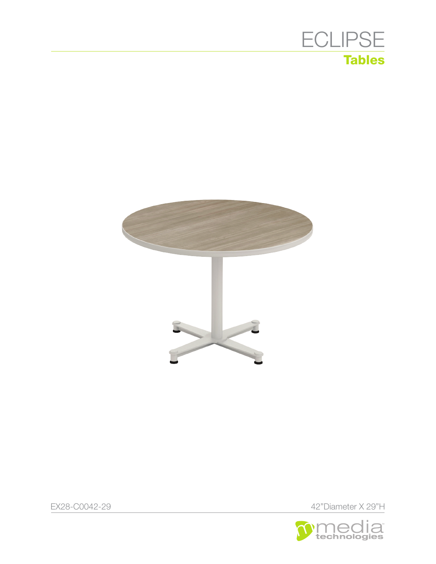



EX28-C0042-29 42"Diameter X 29"H

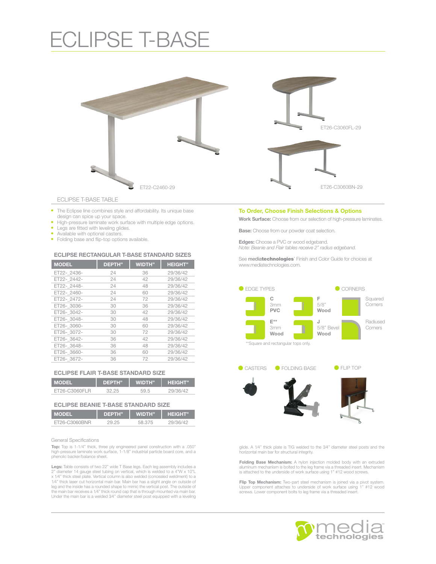## ECLIPSE T-BASE



ECLIPSE T-BASE TABLE

- The Eclipse line combines style and affordability. Its unique base
- design can spice up your space. High-pressure laminate work surface with multiple edge options.
- Legs are fitted with leveling glides.
- Available with optional casters.
- Folding base and flip-top options available.

### ECLIPSE RECTANGULAR T-BASE STANDARD SIZES

| <b>MODEL</b> | <b>DEPTH</b> " | <b>WIDTH"</b> | <b>HEIGHT"</b> |
|--------------|----------------|---------------|----------------|
| ET22-2436-   | 24             | 36            | 29/36/42       |
| ET22-2442-   | 24             | 42            | 29/36/42       |
| ET22-2448-   | 24             | 48            | 29/36/42       |
| ET22-2460-   | 24             | 60            | 29/36/42       |
| ET22-2472-   | 24             | 72            | 29/36/42       |
| ET26-3036-   | 30             | 36            | 29/36/42       |
| ET26-3042-   | 30             | 42            | 29/36/42       |
| ET26-3048-   | 30             | 48            | 29/36/42       |
| ET26-3060-   | 30             | 60            | 29/36/42       |
| ET26-3072-   | 30             | 72            | 29/36/42       |
| ET26-3642-   | 36             | 42            | 29/36/42       |
| ET26-3648-   | 36             | 48            | 29/36/42       |
| ET26-3660-   | 36             | 60            | 29/36/42       |
| ET26-3672-   | 36             | 72            | 29/36/42       |

|  |  |  |  | <b>ECLIPSE FLAIR T-BASE STANDARD SIZE</b> |  |
|--|--|--|--|-------------------------------------------|--|
|--|--|--|--|-------------------------------------------|--|

| <b>MODEL</b>  | <b>DEPTH</b> <sup>"</sup> | <b>WIDTH</b> " | <b>HEIGHT"</b> |
|---------------|---------------------------|----------------|----------------|
| FT26-C3060FLB | 32 25                     | 59.5           | 29/36/42       |

| <b>IMODEL</b> | DEPTH" | <b>WIDTH"</b> | <b>HEIGHT</b> " |
|---------------|--------|---------------|-----------------|
| FT26-C3060BNR | つり つら  | 58.375        | 29/36/42        |

General Specifications

Top: Top is 1-1/4" thick, three ply engineered panel construction with a .050" high-pressure laminate work surface, 1-1/8" industrial particle board core, and a phenolic backer/balance sheet.

**Legs:** Table consists of two 22" wide T Base legs. Each leg assembly includes a<br>2" diameter 14 gauge steel tubing on vertical, which is welded to a 4"W x 10"L<br>x 1/4" thick steel plate. Vertical column is also welded (conc 1⁄4" thick laser cut horizontal main bar. Main bar has a slight angle on outside of leg and the inside has a rounded shape to mimic the vertical post. The outside of the main bar receives a 1⁄4" thick round cap that is through mounted via main bar. Under the main bar is a welded 3⁄4" diameter steel post equipped with a leveling

#### To Order, Choose Finish Selections & Options

Work Surface: Choose from our selection of high-pressure laminates.

Base: Choose from our powder coat selection.

Edges: Choose a PVC or wood edgeband. *Note: Beanie and Flair tables receive 2" radius edgeband.*

See mediatechnologies' Finish and Color Guide for choices at www.mediatechnologies.com.



glide. A 1⁄4" thick plate is TIG welded to the 3⁄4" diameter steel posts and the horizontal main bar for structural integrity.

**Folding Base Mechanism:** A nylon injection molded body with an extruded<br>aluminum mechanism is bolted to the leg frame via a threaded insert. Mechanism<br>is attached to the underside of work surface using 1" #12 wood screws.

Flip Top Mechanism: Two-part steel mechanism is joined via a pivot system. Upper component attaches to underside of work surface using 1" #12 wood screws. Lower component bolts to leg frame via a threaded insert.